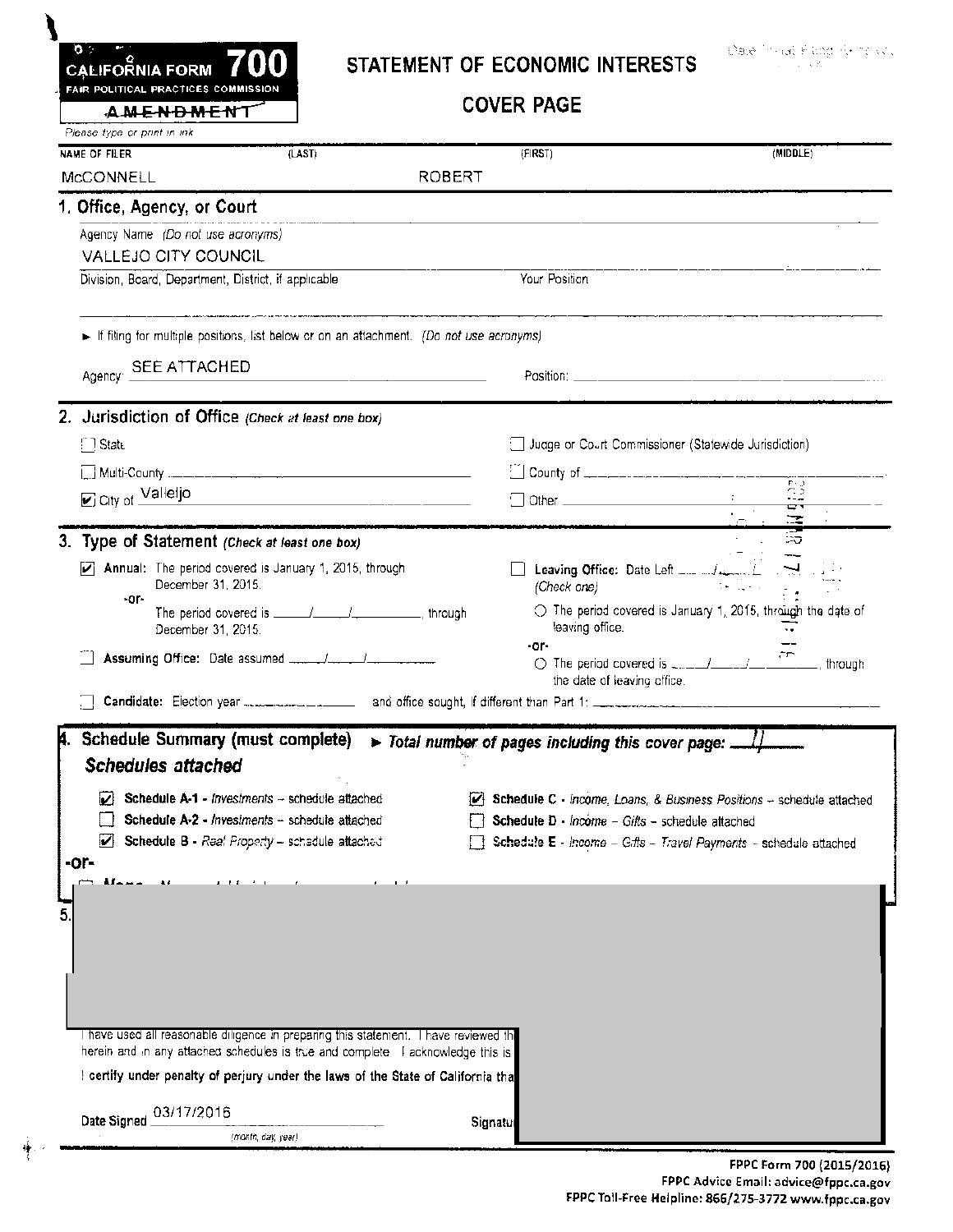| <b>AMENDMENT</b><br>Please type or print in ink                                                       |                                                                                                                       | <b>COVER PAGE</b>                                                                                                                                                                                                                                                                                                                                                                                                                                                                            |                                                                       |
|-------------------------------------------------------------------------------------------------------|-----------------------------------------------------------------------------------------------------------------------|----------------------------------------------------------------------------------------------------------------------------------------------------------------------------------------------------------------------------------------------------------------------------------------------------------------------------------------------------------------------------------------------------------------------------------------------------------------------------------------------|-----------------------------------------------------------------------|
| (LAST)<br>NAME OF FILER                                                                               | ROBERT                                                                                                                | (FIRST)                                                                                                                                                                                                                                                                                                                                                                                                                                                                                      | (MIDDLE)                                                              |
| MCCONNELL                                                                                             |                                                                                                                       |                                                                                                                                                                                                                                                                                                                                                                                                                                                                                              |                                                                       |
| 1. Office, Agency, or Court                                                                           |                                                                                                                       |                                                                                                                                                                                                                                                                                                                                                                                                                                                                                              |                                                                       |
| Agency Name (Do not use acronyms)<br>VALLEJO CITY COUNCIL                                             |                                                                                                                       |                                                                                                                                                                                                                                                                                                                                                                                                                                                                                              |                                                                       |
| Division, Board, Department, District, if applicable                                                  |                                                                                                                       | Your Position                                                                                                                                                                                                                                                                                                                                                                                                                                                                                |                                                                       |
| If filing for multiple positions, list below or on an attachment. (Do not use acronyms)               |                                                                                                                       |                                                                                                                                                                                                                                                                                                                                                                                                                                                                                              |                                                                       |
|                                                                                                       |                                                                                                                       |                                                                                                                                                                                                                                                                                                                                                                                                                                                                                              |                                                                       |
| Agency SEE ATTACHED                                                                                   | <u> 1989 - Johann Harry Harry Harry Harry Harry Harry Harry Harry Harry Harry Harry Harry Harry Harry Harry Harry</u> |                                                                                                                                                                                                                                                                                                                                                                                                                                                                                              |                                                                       |
| 2. Jurisdiction of Office (Check at least one box)                                                    |                                                                                                                       |                                                                                                                                                                                                                                                                                                                                                                                                                                                                                              |                                                                       |
| $\Box$ State                                                                                          |                                                                                                                       | Judge or Court Commissioner (Statewide Jurisdiction)                                                                                                                                                                                                                                                                                                                                                                                                                                         |                                                                       |
|                                                                                                       |                                                                                                                       |                                                                                                                                                                                                                                                                                                                                                                                                                                                                                              |                                                                       |
| C City of Valleljo                                                                                    |                                                                                                                       |                                                                                                                                                                                                                                                                                                                                                                                                                                                                                              |                                                                       |
|                                                                                                       |                                                                                                                       | $\begin{array}{c cccc}\n\hline\n\text{Other} & \text{non-odd} & \text{non-odd} \\ \hline\n\text{Other} & \text{non-odd} & \text{non-odd} & \text{non-odd} & \text{non-odd} & \text{non-odd} & \text{non-odd} & \text{non-odd} & \text{non-odd} & \text{non-odd} & \text{non-odd} & \text{non-odd} & \text{non-odd} & \text{non-odd} & \text{non-odd} & \text{non-odd} & \text{non-odd} & \text{non-odd} & \text{non-odd} & \text{non-odd} & \text{non-odd} & \text{non-odd} & \text{non-odd$ |                                                                       |
| 3. Type of Statement (Check at least one box)                                                         |                                                                                                                       |                                                                                                                                                                                                                                                                                                                                                                                                                                                                                              |                                                                       |
| $\triangleright$ Annual: The period covered is January 1, 2015, through<br>December 31, 2015.<br>-or- |                                                                                                                       | (Check one)                                                                                                                                                                                                                                                                                                                                                                                                                                                                                  | atellar in Lig                                                        |
| December 31, 2015.                                                                                    |                                                                                                                       | leaving office.                                                                                                                                                                                                                                                                                                                                                                                                                                                                              | $\bigcirc$ The period covered is January 1, 2015, through the date of |
|                                                                                                       |                                                                                                                       | -or-<br>the date of leaving office.                                                                                                                                                                                                                                                                                                                                                                                                                                                          |                                                                       |
|                                                                                                       |                                                                                                                       |                                                                                                                                                                                                                                                                                                                                                                                                                                                                                              |                                                                       |
| Schedule Summary (must complete)<br><b>Schedules attached</b>                                         |                                                                                                                       | > Total number of pages including this cover page: .                                                                                                                                                                                                                                                                                                                                                                                                                                         |                                                                       |
| Schedule A-1 - Investments - schedule attached                                                        |                                                                                                                       | Schedule C - Income, Loans, & Business Positions - schedule attached                                                                                                                                                                                                                                                                                                                                                                                                                         |                                                                       |
| Schedule A-2 - Investments - schedule attached<br>M<br>Schedule B - Raal Property - schedule attached |                                                                                                                       | Schedule D - Income - Gifts - schedule attached                                                                                                                                                                                                                                                                                                                                                                                                                                              |                                                                       |
| -or-                                                                                                  |                                                                                                                       |                                                                                                                                                                                                                                                                                                                                                                                                                                                                                              | Schedule E - Income - Gifts - Travel Payments - schedule attached     |
|                                                                                                       |                                                                                                                       |                                                                                                                                                                                                                                                                                                                                                                                                                                                                                              |                                                                       |
|                                                                                                       |                                                                                                                       |                                                                                                                                                                                                                                                                                                                                                                                                                                                                                              |                                                                       |
|                                                                                                       |                                                                                                                       |                                                                                                                                                                                                                                                                                                                                                                                                                                                                                              |                                                                       |
|                                                                                                       |                                                                                                                       |                                                                                                                                                                                                                                                                                                                                                                                                                                                                                              |                                                                       |
|                                                                                                       |                                                                                                                       |                                                                                                                                                                                                                                                                                                                                                                                                                                                                                              |                                                                       |

Signatul

Date Signed  $\frac{03/17/2016}$ 

幛

(month, day, year)

FPPC Form 700 (2015/2016) FPPC Advice Email: advice@fppc.ca.gov FPPC Toll-Free Helpline: 866/275-3772 www.fppc.ca.gov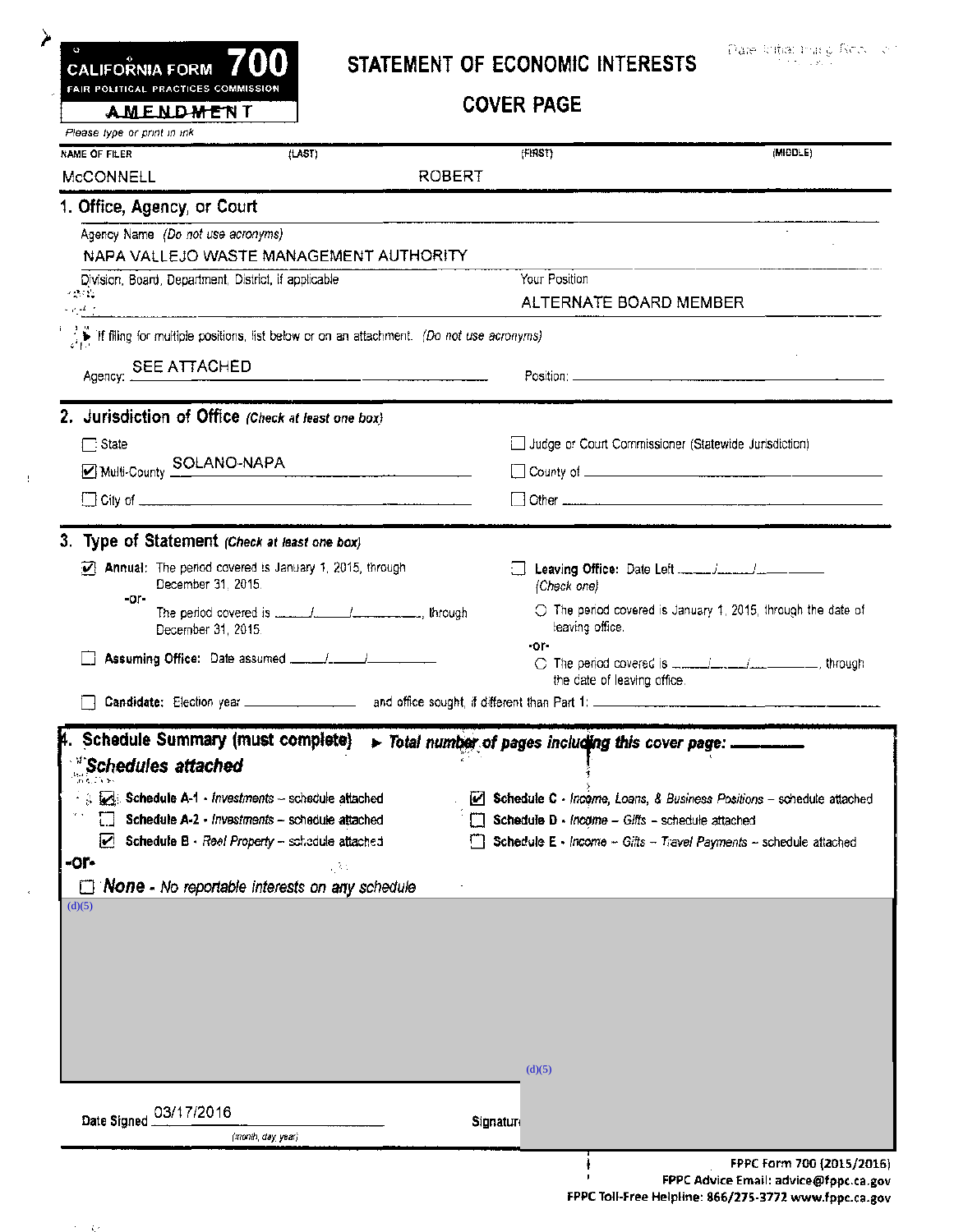| FAIR POLITICAL PRACTICES COMMISSION                                                                             |                                                            |                                                                                                  |                                                    |                                                                        |
|-----------------------------------------------------------------------------------------------------------------|------------------------------------------------------------|--------------------------------------------------------------------------------------------------|----------------------------------------------------|------------------------------------------------------------------------|
| <b>AMENDMENT</b>                                                                                                |                                                            |                                                                                                  | <b>COVER PAGE</b>                                  |                                                                        |
| Please type or print in ink.                                                                                    |                                                            |                                                                                                  |                                                    |                                                                        |
| NAME OF FILER                                                                                                   | (tAST)                                                     |                                                                                                  | fFIRST)                                            | (MIDDLE)                                                               |
| MCCONNELL                                                                                                       |                                                            | <b>ROBERT</b>                                                                                    |                                                    |                                                                        |
| 1. Office, Agency, or Court                                                                                     |                                                            |                                                                                                  |                                                    |                                                                        |
| Agency Name (Do not use acronyms)                                                                               |                                                            |                                                                                                  |                                                    | $\sim$                                                                 |
|                                                                                                                 | Division, Board, Department, District, if applicable       | NAPA VALLEJO WASTE MANAGEMENT AUTHORITY                                                          | Your Position                                      |                                                                        |
| $\mathcal{L}(\mathcal{M})$ .                                                                                    |                                                            |                                                                                                  | ALTERNATE BOARD MEMBER                             |                                                                        |
| and at the component of the component of the component of the component of the component of the component of th |                                                            |                                                                                                  |                                                    |                                                                        |
|                                                                                                                 |                                                            | <b>A</b> if filing for multiple positions, list below or on an attachment. (Do not use acronyms) |                                                    |                                                                        |
| Agency: SEE ATTACHED                                                                                            |                                                            |                                                                                                  |                                                    |                                                                        |
|                                                                                                                 |                                                            |                                                                                                  |                                                    |                                                                        |
| 2. Jurisdiction of Office (Check at least one box)                                                              |                                                            |                                                                                                  |                                                    |                                                                        |
| □ State                                                                                                         |                                                            |                                                                                                  |                                                    | Judge or Court Commissioner (Statewide Jurisdiction)                   |
| Multi-County SOLANO-NAPA                                                                                        |                                                            |                                                                                                  |                                                    |                                                                        |
|                                                                                                                 |                                                            |                                                                                                  |                                                    |                                                                        |
|                                                                                                                 |                                                            |                                                                                                  |                                                    |                                                                        |
| 3. Type of Statement (Check at least one box)                                                                   |                                                            |                                                                                                  |                                                    |                                                                        |
|                                                                                                                 | [7] Annual: The period covered is January 1, 2015, through |                                                                                                  |                                                    |                                                                        |
| -or-                                                                                                            | December 31, 2015.                                         |                                                                                                  | (Check one)                                        |                                                                        |
|                                                                                                                 |                                                            |                                                                                                  |                                                    | $\bigcirc$ The period covered is January 1, 2015, through the date of  |
|                                                                                                                 | December 31, 2015.                                         |                                                                                                  | leaving office.<br>-or-                            |                                                                        |
|                                                                                                                 |                                                            |                                                                                                  |                                                    |                                                                        |
|                                                                                                                 |                                                            |                                                                                                  |                                                    |                                                                        |
|                                                                                                                 |                                                            |                                                                                                  | the date of leaving office.                        |                                                                        |
|                                                                                                                 |                                                            |                                                                                                  |                                                    |                                                                        |
|                                                                                                                 |                                                            |                                                                                                  |                                                    |                                                                        |
|                                                                                                                 | <b>Schedule Summary (must complete)</b>                    |                                                                                                  | > Total number of pages including this cover page: |                                                                        |
| Schedules attached                                                                                              |                                                            |                                                                                                  |                                                    |                                                                        |
|                                                                                                                 | Schedule A-1 - Investments - schedule attached             |                                                                                                  |                                                    |                                                                        |
|                                                                                                                 | Schedule A-2 - Investments - schedule attached             |                                                                                                  | Schedule D - Income - Gifts - schedule attached    |                                                                        |
| ☑                                                                                                               | Schedule B - Reel Property - schedule attached             |                                                                                                  |                                                    | Schedule E - Income - Gifts - Travel Payments - schedule attached      |
| -or-                                                                                                            |                                                            | , 35                                                                                             |                                                    |                                                                        |
| (d)(5)                                                                                                          | None - No reportable interests on any schedule             |                                                                                                  |                                                    |                                                                        |
|                                                                                                                 |                                                            |                                                                                                  |                                                    |                                                                        |
|                                                                                                                 |                                                            |                                                                                                  |                                                    |                                                                        |
|                                                                                                                 |                                                            |                                                                                                  |                                                    |                                                                        |
|                                                                                                                 |                                                            |                                                                                                  |                                                    |                                                                        |
|                                                                                                                 |                                                            |                                                                                                  |                                                    |                                                                        |
|                                                                                                                 |                                                            |                                                                                                  |                                                    |                                                                        |
|                                                                                                                 |                                                            |                                                                                                  | (d)(5)                                             | C Schedule C - Income, Loans, & Business Positions - schedule attached |
|                                                                                                                 |                                                            |                                                                                                  |                                                    |                                                                        |
| 03/17/2016<br>Date Signed                                                                                       |                                                            |                                                                                                  | Signatur                                           |                                                                        |

 $\sim$   $\sim$   $\sim$   $\sim$ 

 $\pm 1$ 

FPPC Advice Email: advice@fppc.ca.gov FPPC Toll-Free Helpline: 866/275-3772 www-fppc.ca.gov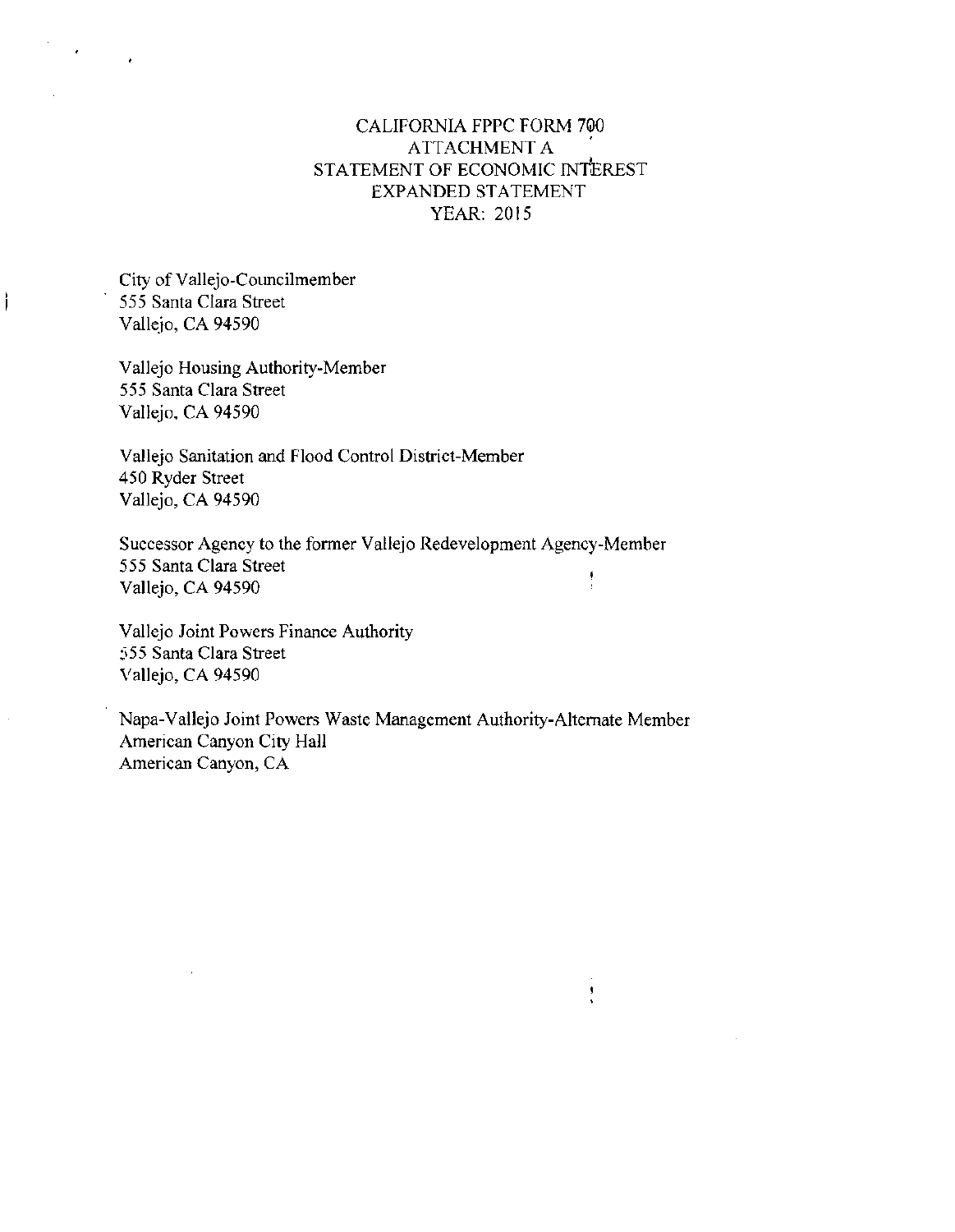#### CALIFORNIA FPPC FORM 7@0 ATTACHMENT A . STATEMENT OF ECONOMIC INTEREST EXPANDED STATEMENT YEAR: 2015

City of Vallejo-Councilmember 555 Santa Clara Street Vallejo, CA 94590

ì

Vallejo Housing Authority-Member 555 Santa Clara Street Vallejo, CA 94590

Vallejo Sanitation and Flood Control District-Member 450 Ryder Street Vallejo, CA 94590

Successor Agency to the former Vallejo Redevelopment Agency-Member 555 Santa Clara Street ţ Vallejo, CA 94590

Vallejo Joint Powers Finance Authority 555 Santa Clara Street Vallejo, CA 94590

Napa-Vallejo Joint Powers Waste Management Authority-Alternate Member American Canyon City Hall American Canyon, CA

 $\frac{1}{2}$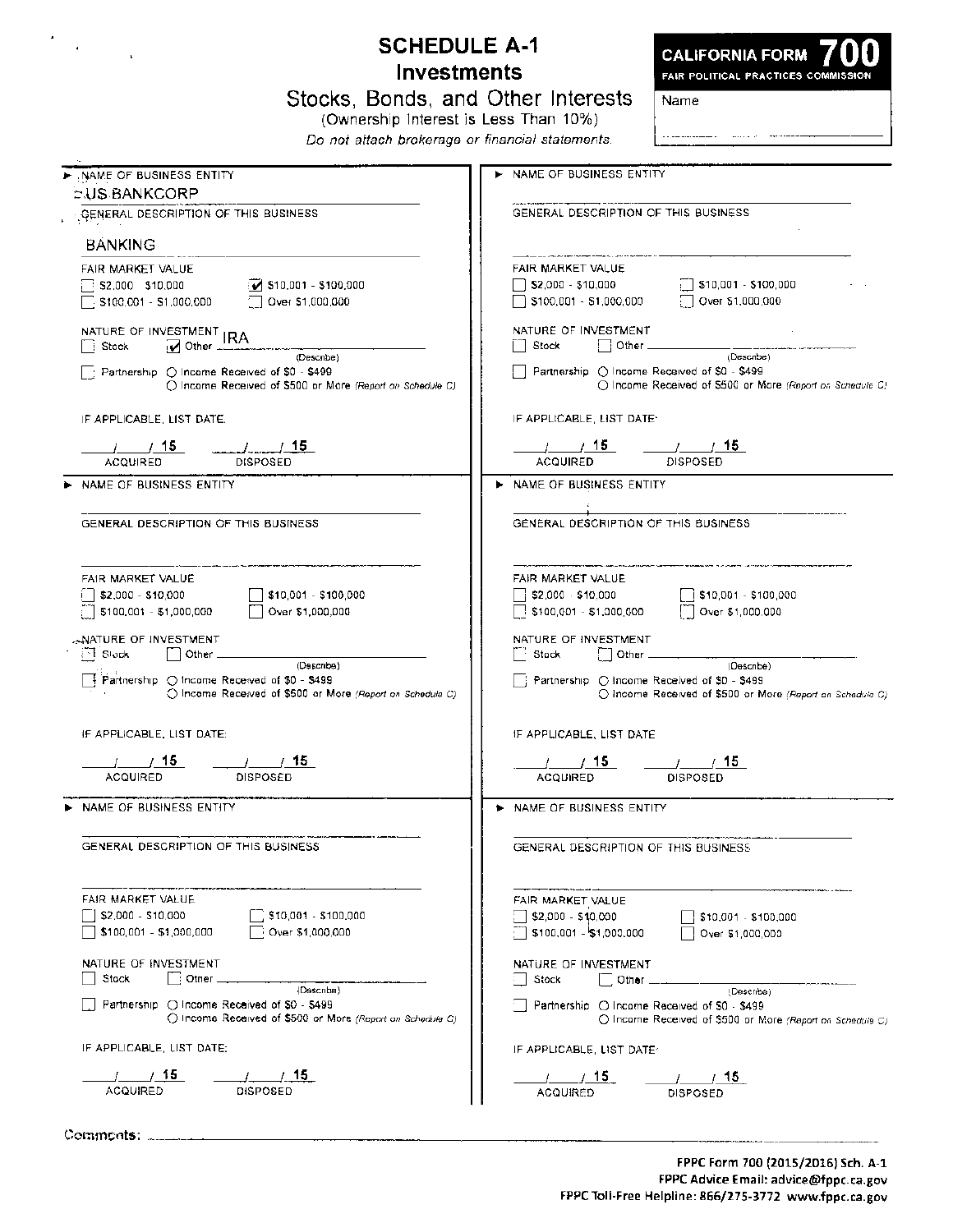| <b>Investments</b>                                                                                                                                                                                                                                                      | <b>SCHEDULE A-1</b><br><b>CALIFORNIA FORM</b><br>FAIR POLITICAL PRACTICES COMMISSION                                                                                                                           |
|-------------------------------------------------------------------------------------------------------------------------------------------------------------------------------------------------------------------------------------------------------------------------|----------------------------------------------------------------------------------------------------------------------------------------------------------------------------------------------------------------|
| Stocks, Bonds, and Other Interests<br>(Ownership Interest is Less Than 10%)<br>Do not attach brokerage or financial statements.                                                                                                                                         | Name                                                                                                                                                                                                           |
| NAME OF BUSINESS ENTITY                                                                                                                                                                                                                                                 | NAME OF BUSINESS ENTITY                                                                                                                                                                                        |
| <b>EUS BANKCORP</b>                                                                                                                                                                                                                                                     |                                                                                                                                                                                                                |
| GENERAL DESCRIPTION OF THIS BUSINESS<br><b>BANKING</b>                                                                                                                                                                                                                  | GENERAL DESCRIPTION OF THIS BUSINESS                                                                                                                                                                           |
| FAIR MARKET VALUE<br>\$10,001 - \$100,000<br>\$2,000 \$10,000<br>\$100,001 - \$1,000,000<br>Over \$1,000,000                                                                                                                                                            | FAIR MARKET VALUE<br>$\lceil \cdot \rceil$ \$10,001 - \$100,000<br>\$2,000 - \$10,000<br>Over \$1,000,000<br>\$100,001 - \$1,000,000                                                                           |
|                                                                                                                                                                                                                                                                         | NATURE OF INVESTMENT<br>Other $\_\_$<br>Stock                                                                                                                                                                  |
| (Describe)<br>Partnership (C) Income Received of \$0 - \$499<br>C Income Received of \$500 or More (Report on Schedule C)                                                                                                                                               | (Describe)<br>Partnership O Income Received of \$0 - \$499<br>() Income Received of \$500 or More (Report on Schedule C)                                                                                       |
| IF APPLICABLE, LIST DATE.                                                                                                                                                                                                                                               | IF APPLICABLE, LIST DATE:                                                                                                                                                                                      |
| $\frac{1}{2}$ $\frac{15}{2}$<br>$\prime$ / 15<br><b>DISPOSED</b><br><b>ACQUIRED</b>                                                                                                                                                                                     | $\frac{1}{2}$ $\frac{1}{2}$<br>$\prime$ $\prime$ 15<br><b>ACQUIRED</b><br>DISPOSED                                                                                                                             |
| NAME OF BUSINESS ENTITY                                                                                                                                                                                                                                                 | NAME OF BUSINESS ENTITY<br>►                                                                                                                                                                                   |
| FAIR MARKET VALUE                                                                                                                                                                                                                                                       | FAIR MARKET VALUE                                                                                                                                                                                              |
| \$2,000 - \$10,000<br>[   \$10,001 - \$100,000<br>\$100,001 - \$1,000,000<br>Over \$1,000,000<br>ANATURE OF INVESTMENT.<br>⊡ Slock<br>Other<br>(Describe)<br>Partnership (O Income Received of \$0 - \$499<br>O Income Received of \$500 or More (Report on Schedule C) | \$2,000 - \$10,000<br>1 \$10,001 - \$100,000<br>[7] Over \$1,000,000<br>$\Box$ \$100,001 - \$1,000,000<br>NATURE OF INVESTMENT<br>Stock<br>Other<br>(Describe)<br>Partnership C Income Received of \$0 - \$499 |
| IF APPLICABLE, LIST DATE:                                                                                                                                                                                                                                               | IF APPLICABLE, LIST DATE                                                                                                                                                                                       |
| ACQUIRED<br>DISPOSED                                                                                                                                                                                                                                                    | DISPOSED<br><b>ACQUIRED</b>                                                                                                                                                                                    |
| NAME OF BUSINESS ENTITY                                                                                                                                                                                                                                                 | > NAME OF BUSINESS ENTITY                                                                                                                                                                                      |
| GENERAL DESCRIPTION OF THIS BUSINESS.                                                                                                                                                                                                                                   | GENERAL DESCRIPTION OF THIS BUSINESS.                                                                                                                                                                          |
| FAIR MARKET VALUE<br>$\Box$ \$10,001 - \$100,000<br>S2,000 - S10,000<br>\$100,001 - \$1,000,000<br>Over \$1,000,000                                                                                                                                                     | FAIR MARKET VALUE<br>$510,001 - 5100,000$<br>{  \$2,000 - \$1,0,000<br>$\Box$ \$100,001 - \$1,000,000<br>$\Box$ Over \$1,000,000                                                                               |
| NATURE OF INVESTMENT<br>│ : Other ____________<br>Stock                                                                                                                                                                                                                 | NATURE OF INVESTMENT<br>Stock                                                                                                                                                                                  |
| (Describe)<br>Partnership (C) Income Recaived of \$0 - \$499<br>() Income Received of \$500 or More (Report on Schedule C)                                                                                                                                              | (Describe)<br>Partnership O Income Received of \$0 - \$499                                                                                                                                                     |
| IF APPLICABLE, LIST DATE:                                                                                                                                                                                                                                               | $\bigcirc$ income Received of \$500 or More (Report on Schedule C)<br>O Income Received of \$500 or More (Report on Schedule C)<br>IF APPLICABLE, LIST DATE:                                                   |

\_\_\_\_\_\_\_\_\_\_\_\_\_\_\_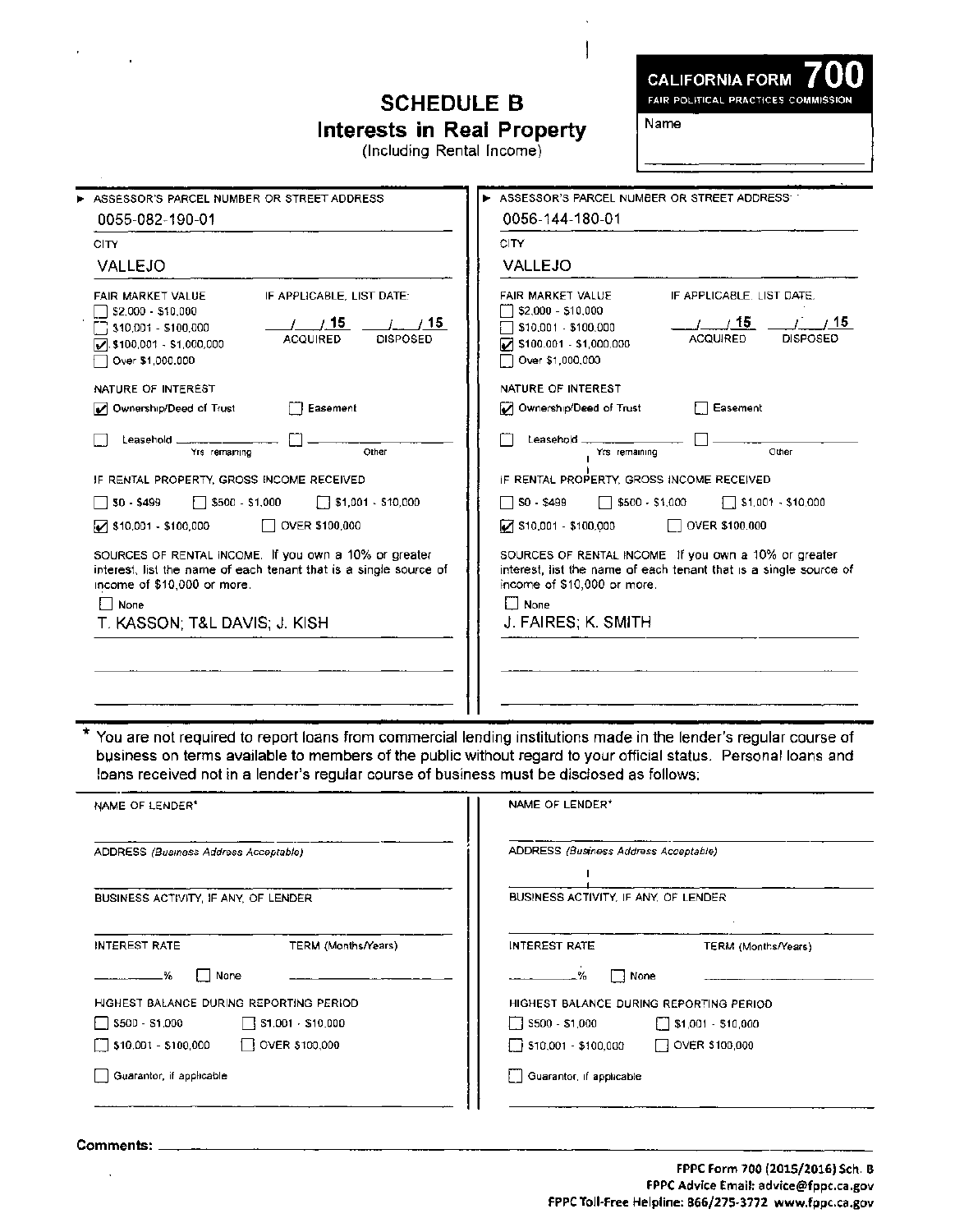#### **SCHEDULE B Interests in Real Property**

(Including Rental Income)

**CALIFORNIA FORM** 

FAIR POLITICAL PRACTICES COMMISSION

Name

I

| ASSESSOR'S PARCEL NUMBER OR STREET ADDRESS.                                                                                                                                                                  | ASSESSOR'S PARCEL NUMBER OR STREET ADDRESS.                                                                                                                                                                                |
|--------------------------------------------------------------------------------------------------------------------------------------------------------------------------------------------------------------|----------------------------------------------------------------------------------------------------------------------------------------------------------------------------------------------------------------------------|
| 0055-082-190-01                                                                                                                                                                                              | 0056-144-180-01                                                                                                                                                                                                            |
| CITY                                                                                                                                                                                                         | CITY                                                                                                                                                                                                                       |
| <b>VALLEJO</b>                                                                                                                                                                                               | VALLEJO                                                                                                                                                                                                                    |
| IF APPLICABLE. LIST DATE:<br>FAIR MARKET VALUE<br>\$2,000 - \$10,000<br>115<br>/ 15<br>310,001 - \$100,000<br><b>DISPOSED</b><br><b>ACQUIRED</b><br>$\sqrt{3}$ , \$100,001 - \$1,000,000<br>Over \$1,000,000 | FAIR MARKET VALUE<br>IF APPLICABLE. LIST DATE.<br>\$2,000 - \$10,000<br>/ 15<br>/ 15<br>$\sqrt{510,001}$ - \$100,000<br><b>ACQUIRED</b><br><b>DISPOSED</b><br>$\triangleright$ \$100.001 - \$1,000,000<br>Over \$1,000,000 |
| NATURE OF INTEREST                                                                                                                                                                                           | NATURE OF INTEREST                                                                                                                                                                                                         |
| Ownership/Deed of Trust<br>Easement<br>M                                                                                                                                                                     | Ownership/Deed of Trust<br>Easement                                                                                                                                                                                        |
| Leasehold<br>Yrs remaining<br>Other                                                                                                                                                                          | Leasehold ___________<br>Other<br>Yrs remaining                                                                                                                                                                            |
| IF RENTAL PROPERTY, GROSS INCOME RECEIVED                                                                                                                                                                    | IF RENTAL PROPERTY, GROSS INCOME RECEIVED                                                                                                                                                                                  |
| $$500 - $1,000$<br>$\sqrt{31,001} \cdot 510,000$<br>$50 - $499$                                                                                                                                              | $S0 - $499$<br>$$500 - $1,000$<br>    \$1.001 - \$10.000                                                                                                                                                                   |
| OVER \$100,000<br>$\sqrt{5}$ \$10,001 - \$100,000                                                                                                                                                            | OVER \$100,000<br>$\triangleright$ \$10,001 - \$100,000                                                                                                                                                                    |
| SOURCES OF RENTAL INCOME. If you own a 10% or greater<br>interest, list the name of each tenant that is a single source of<br>income of \$10,000 or more.<br>   <br>None<br>T. KASSON; T&L DAVIS; J. KISH    | SOURCES OF RENTAL INCOME If you own a 10% or greater<br>interest, list the name of each tenant that is a single source of<br>income of \$10,000 or more.<br>None<br>J. FAIRES; K. SMITH                                    |
|                                                                                                                                                                                                              |                                                                                                                                                                                                                            |

You are not required to report loans from commercial lending institutions made in the lender's regular course of business on terms available to members of the public without regard to your official status. Personal loans and loans received not in a lender's regular course of business must be disclosed as follows:

| NAME OF LENDER*                                         | NAME OF LENDER*                                                                           |
|---------------------------------------------------------|-------------------------------------------------------------------------------------------|
| ADDRESS (Business Address Acceptable)                   | ADDRESS (Business Address Acceptable)                                                     |
| BUSINESS ACTIVITY, IF ANY, OF LENDER                    | BUSINESS ACTIVITY. IF ANY, OF LENDER                                                      |
| TERM (Months/Years)<br>INTEREST RATE                    | INTEREST RATE<br>TERM (Months/Years)                                                      |
| None<br>-%                                              | ∣ } None                                                                                  |
| HIGHEST BALANCE DURING REPORTING PERIOD                 | HIGHEST BALANCE DURING REPORTING PERIOD.                                                  |
| $\Box$ \$500 - \$1,000<br>$\sqrt{51,001} \cdot $10,000$ | $5500 - 51,000$<br>$\begin{bmatrix} 1 & 1 & 0 & 1 \\ 0 & 0 & 1 & 0 \end{bmatrix}$ 510,000 |
| $\Box$ OVER \$100,000<br>$\Box$ \$10,001 - \$100,000    | $\Box$ \$10,001 - \$100,000<br>OVER \$100,000                                             |
| Guarantor, if applicable                                | Guarantor, if applicable                                                                  |
|                                                         |                                                                                           |

Comments: \_  $\ddot{\phantom{0}}$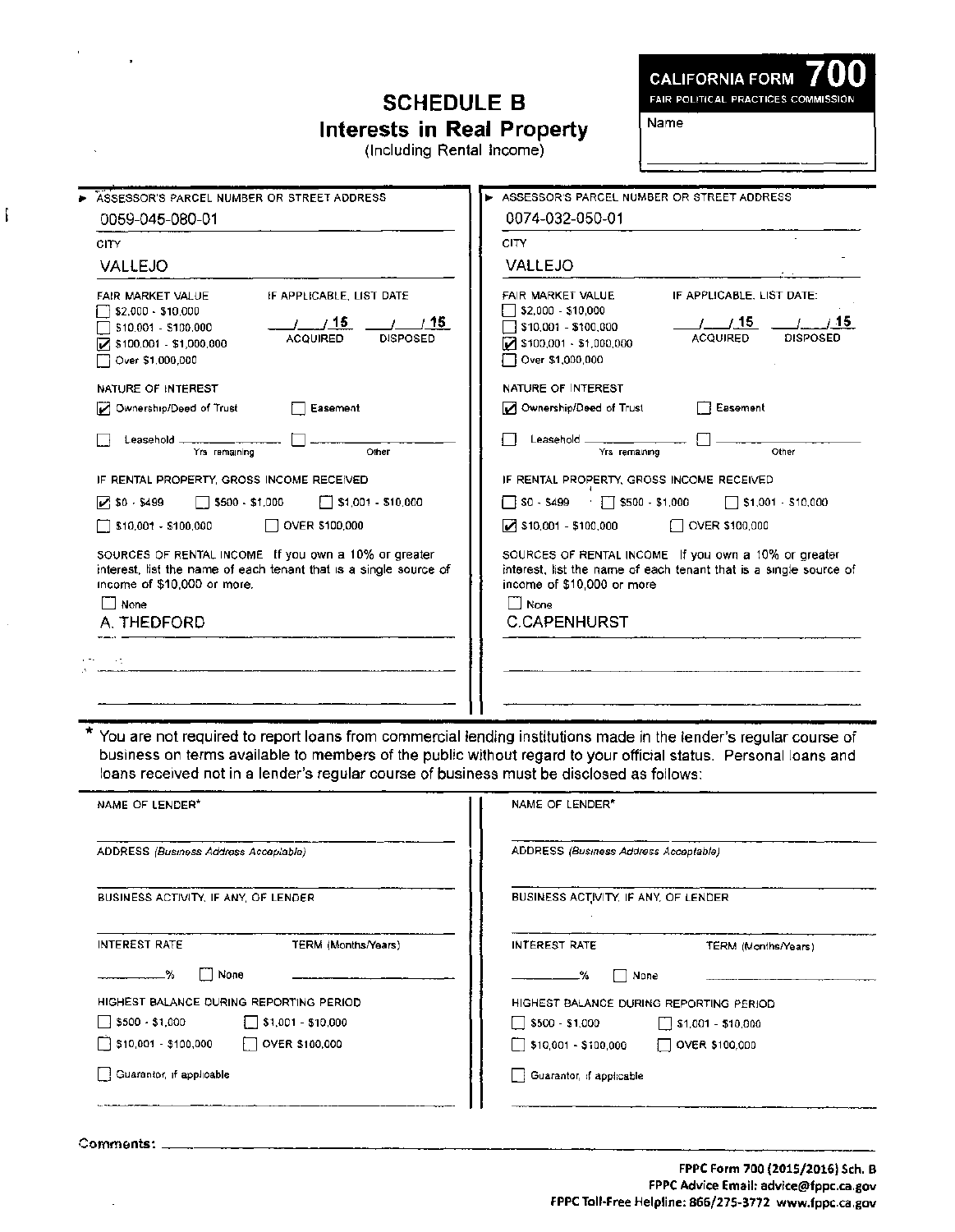## **SCHEDULE B Interests in Real Property**

(Including Rental Income)

**CALIFORNIA FORM** 

FAIR POLITICAL PRACTICES COMMISSION

Name

| ASSESSOR'S PARCEL NUMBER OR STREET ADDRESS                                                                                                                                                          | ASSESSOR'S PARCEL NUMBER OR STREET ADDRESS.                                                                                                                                                                  |
|-----------------------------------------------------------------------------------------------------------------------------------------------------------------------------------------------------|--------------------------------------------------------------------------------------------------------------------------------------------------------------------------------------------------------------|
| 0059-045-080-01                                                                                                                                                                                     | 0074-032-050-01                                                                                                                                                                                              |
| CITY                                                                                                                                                                                                | CITY                                                                                                                                                                                                         |
| VALLEJO                                                                                                                                                                                             | <b>VALLEJO</b>                                                                                                                                                                                               |
| IF APPLICABLE, LIST DATE<br>FAIR MARKET VALUE<br>\$2,000 - \$10,000<br>1/15<br>115<br>\$10,001 - \$100,000<br><b>ACQUIRED</b><br><b>DISPOSED</b><br>$7$ \$100,001 - \$1,000,000<br>Over \$1,000,000 | FAIR MARKET VALUE<br>IF APPLICABLE, LIST DATE:<br>\$2,000 - \$10,000<br>$t$ / 15<br>715.<br>$\sqrt{510,001}$ - \$100,000<br><b>ACQUIRED</b><br><b>DISPOSED</b><br>3100,001 - \$1,000,000<br>Over \$1,000,000 |
| NATURE OF INTEREST                                                                                                                                                                                  | NATURE OF INTEREST                                                                                                                                                                                           |
| Ownership/Deed of Trust<br>Easement                                                                                                                                                                 | Ownership/Deed of Trust<br><b>□ Easement</b>                                                                                                                                                                 |
| $\vert$<br>Leasehold<br>Yrs remaining<br>Other                                                                                                                                                      | Leasehold L<br>Yrs remaining<br>Other                                                                                                                                                                        |
| IF RENTAL PROPERTY, GROSS INCOME RECEIVED                                                                                                                                                           | IF RENTAL PROPERTY, GROSS INCOME RECEIVED                                                                                                                                                                    |
| $\triangleright$ \$0 $\cdot$ \$499<br>$\Box$ \$500 - \$1,000<br>$\sqrt{51,001}$ - \$10,000                                                                                                          | $\Box$ SO - S499 $\Box$ S500 - S1,000<br>$\Box$ \$1,001 - \$10,000                                                                                                                                           |
| OVER \$100,000<br>$\Box$ \$10,001 - \$100,000                                                                                                                                                       | $\sqrt{ }$ \$10,001 - \$100,000<br>OVER \$100,000                                                                                                                                                            |
| SOURCES OF RENTAL INCOME If you own a 10% or greater<br>interest, list the name of each tenant that is a single source of<br>income of \$10,000 or more.<br>$\Box$ None                             | SOURCES OF RENTAL INCOME If you own a 10% or greater<br>interest, list the name of each tenant that is a single source of<br>income of \$10,000 or more<br>None                                              |
| A. THEDFORD                                                                                                                                                                                         | <b>C.CAPENHURST</b>                                                                                                                                                                                          |
| HD.                                                                                                                                                                                                 |                                                                                                                                                                                                              |
|                                                                                                                                                                                                     |                                                                                                                                                                                                              |
|                                                                                                                                                                                                     |                                                                                                                                                                                                              |

You are not required to report loans from commercial lending institutions made in the lender's regular course of business on terms available to members of the public without regard to your official status. Personal loans and loans received not in a lender's regular course of business must be disclosed as follows:

| NAME OF LENDER*                                      | NAME OF LENDER*                                   |
|------------------------------------------------------|---------------------------------------------------|
| ADDRESS (Business Address Acceptable)                | ADDRESS (Business Address Acceptable)             |
| BUSINESS ACTIVITY, IF ANY, OF LENDER                 | BUSINESS ACTIVITY, IF ANY, OF LENDER              |
| <b>INTEREST RATE</b><br><b>TERM (Months/Years)</b>   | <b>INTEREST RATE</b><br>TERM (Months/Years)       |
| None<br>₩<br>$\Box$                                  | None                                              |
| HIGHEST BALANCE DURING REPORTING PERIOD              | HIGHEST BALANCE DURING REPORTING PERIOD           |
| $ $ \$500 $-$ \$1,000<br>$\sqrt{51,001}$ - \$10,000  | \$500 - \$1,000<br>$\parallel$ \$1,001 - \$10,000 |
| $\Box$ \$10,001 - \$100,000<br>$\Box$ OVER \$100,000 | 510,001 - \$100,000<br>$\Box$ OVER \$100,000      |
| Suarantor, if applicable                             | Guarantor, if applicable                          |
|                                                      |                                                   |

Comments: \_

ᡓ

 $\mathcal{L}$ Ň.

ĺ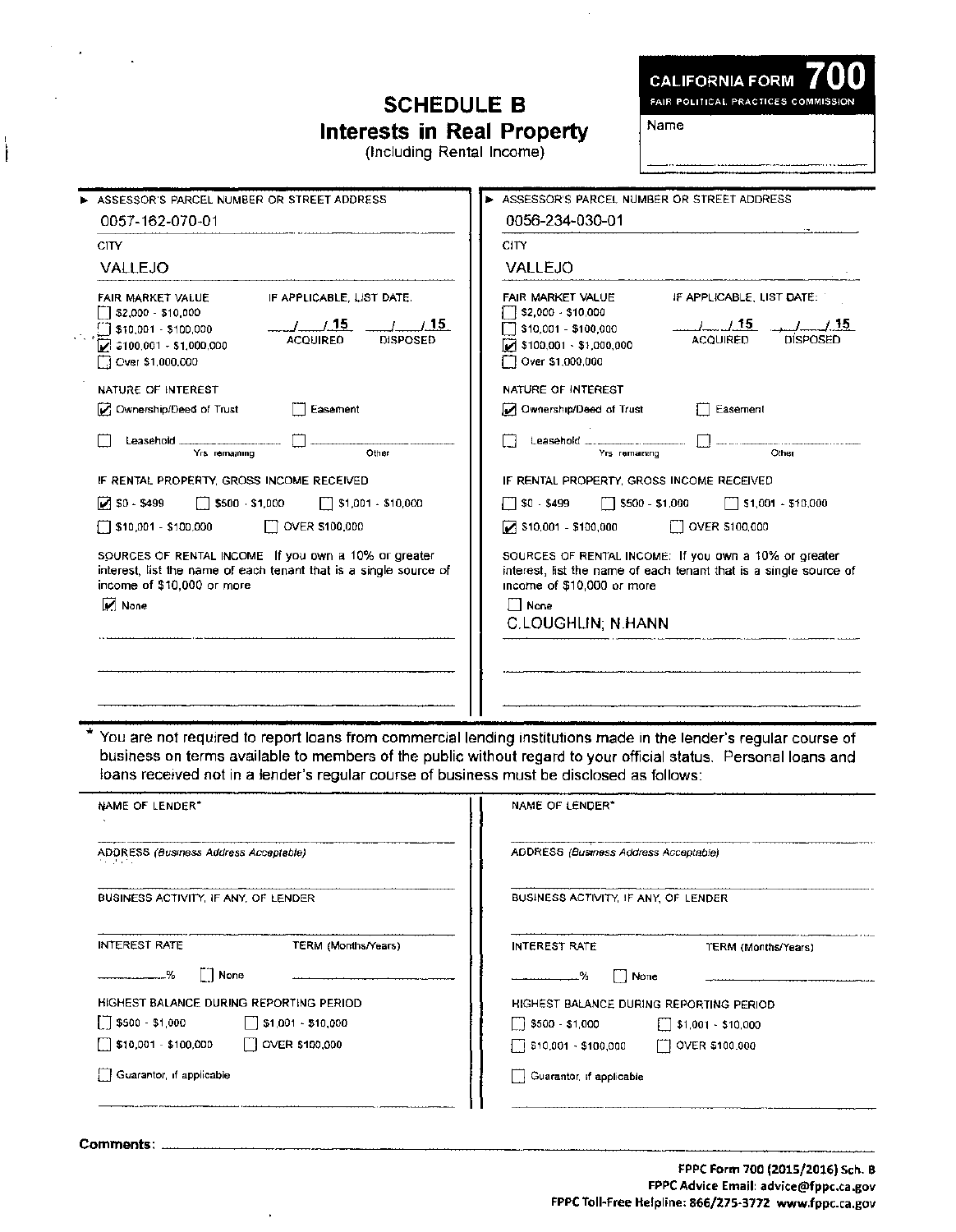### **SCHEDULE B Interests in Real Property**

(Including Rental Income)

**CALIFORNIA FORM** FAIR POLITICAL PRACTICES COMMISSION

Name

| ASSESSOR'S PARCEL NUMBER OR STREET ADDRESS                                                                                                                                                                           | ASSESSOR'S PARCEL NUMBER OR STREET ADDRESS                                                                                                                                                                            |
|----------------------------------------------------------------------------------------------------------------------------------------------------------------------------------------------------------------------|-----------------------------------------------------------------------------------------------------------------------------------------------------------------------------------------------------------------------|
| 0057-162-070-01                                                                                                                                                                                                      | 0056-234-030-01                                                                                                                                                                                                       |
| <b>CITY</b>                                                                                                                                                                                                          | CITY                                                                                                                                                                                                                  |
| <b>VALLEJO</b>                                                                                                                                                                                                       | VALLEJO                                                                                                                                                                                                               |
| IF APPLICABLE, LIST DATE.<br>FAIR MARKET VALUE<br>$\lceil$ \$2,000 - \$10,000<br>1/15<br>1/15<br>1 \$10,001 - \$100,000<br><b>ACQUIRED</b><br><b>DISPOSED</b><br>$73100,001 - $1,000,000$<br>$\Box$ Over \$1,000,000 | FAIR MARKET VALUE<br>IF APPLICABLE, LIST DATE:<br>\$2,000 - \$10,000<br>. . /___. / .15<br>\$10,001 - \$100,000<br>DISPOSED<br><b>ACQUIRED</b><br>$\triangledown$ \$100,001 $\cdot$ \$1,000,000<br>C Over \$1,000,000 |
| NATURE OF INTEREST                                                                                                                                                                                                   | NATURE OF INTEREST                                                                                                                                                                                                    |
| Ownership/Deed of Trust<br>Easement                                                                                                                                                                                  | Ownership/Deed of Trust<br>Easement                                                                                                                                                                                   |
| Leasehold $\cdots$<br>Other<br>Yrs remaining                                                                                                                                                                         | Leasehold $\qquad \qquad \ldots \qquad \qquad \ldots \qquad$<br>Cther<br>Yrs remaining                                                                                                                                |
| IF RENTAL PROPERTY, GROSS INCOME RECEIVED                                                                                                                                                                            | IF RENTAL PROPERTY, GROSS INCOME RECEIVED                                                                                                                                                                             |
| $\triangleright$ SO - \$499<br>$\Box$ \$500 \$1,000<br>$\Box$ \$1,001 - \$10,000                                                                                                                                     | $\Box$ \$500 - \$1,000<br>$\Box$ \$1,001 - \$10,000<br>∏ \$0 - \$499                                                                                                                                                  |
| $\Box$ OVER \$100,000<br>$\sqrt{510.001} - $100.000$                                                                                                                                                                 | [7] OVER \$100,000<br>$\triangleright$ \$10,001 - \$100,000                                                                                                                                                           |
| SOURCES OF RENTAL INCOME If you own a 10% or greater<br>interest, list the name of each tenant that is a single source of<br>income of \$10,000 or more<br>$\boxed{\triangleright}$ None                             | SOURCES OF RENTAL INCOME: If you own a 10% or greater<br>interest, list the name of each tenant that is a single source of<br>income of \$10,000 or more<br>∬ None:<br><b>C.LOUGHLIN, N.HANN</b>                      |

\* You are not required to report loans from commercial lending institutions made in the lender's regular course of business on terms available to members of the public without regard to your official status, Personal loans and loans received not in a lender's regular course of business must be disclosed as follows:

| NAME OF LENDER"                                       | NAME OF LENDER*                                   |
|-------------------------------------------------------|---------------------------------------------------|
| ADDRESS (Business Address Acceptable)<br>かんけいかい       | ADDRESS (Business Address Acceptable)             |
| BUSINESS ACTIVITY. IF ANY, OF LENDER                  | BUSINESS ACTIVITY, IF ANY, OF LENDER              |
| INTEREST RATE<br>TERM (Months/Years)                  | <b>INTEREST RATE</b><br>TERM (Months/Years)       |
| <b>None</b><br>%                                      | │ │ None<br>. %                                   |
| HIGHEST BALANCE DURING REPORTING PERIOD               | HIGHEST BALANCE DURING REPORTING PERIOD           |
| $\sqrt{ }$ \$500 - \$1,000                            | $\begin{bmatrix} 1 & 5500 & -51000 \end{bmatrix}$ |
| $\sqrt{510,001}$ - \$100,000<br>$\Box$ OVER \$100,000 | ∏ \$10,001 - \$100,000<br>[1] OVER \$100,000      |
| Guarantor, if applicable                              | Guarantor, if applicable                          |

 ${\tt Comments:}\quad$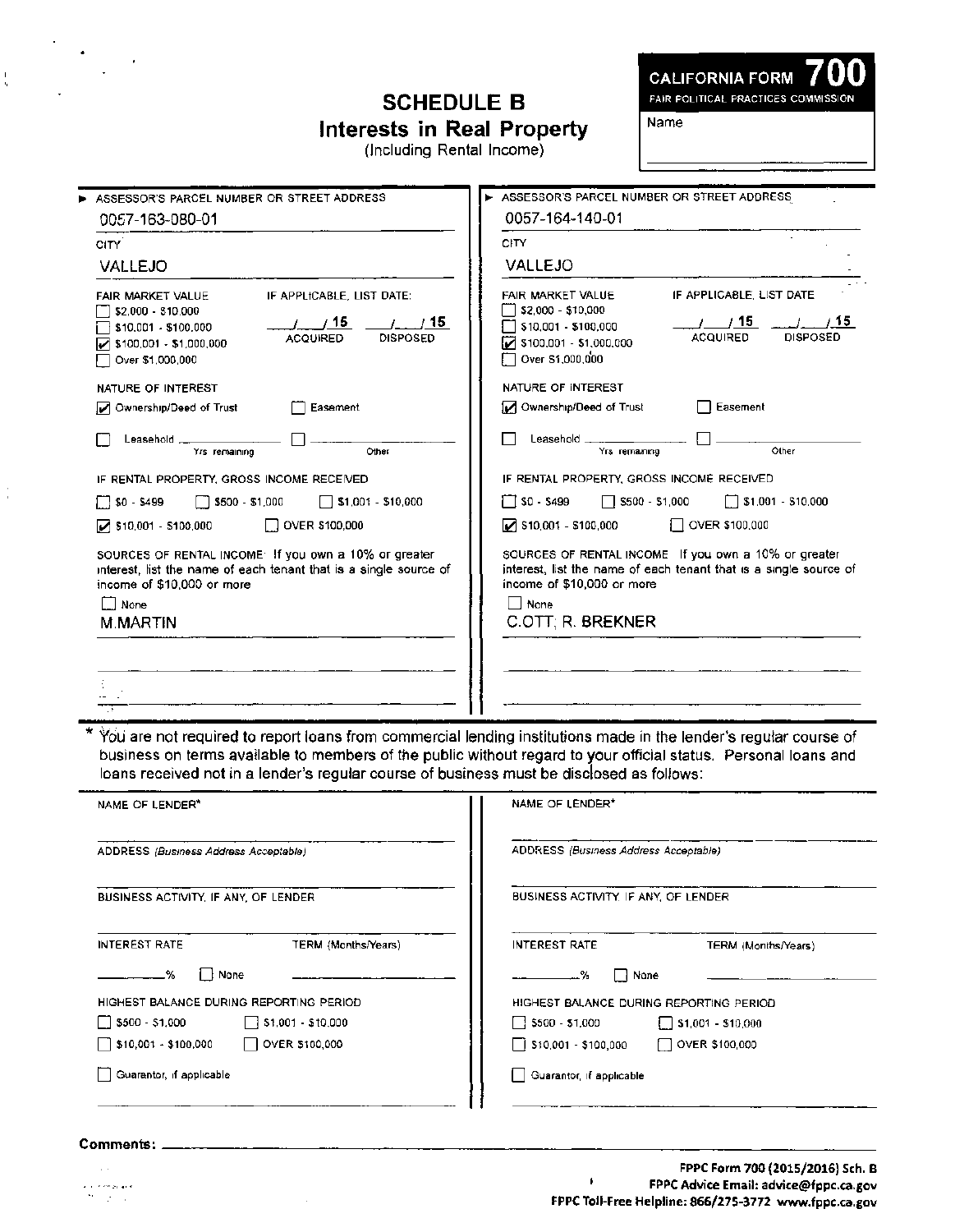## **SCHEDULE B Interests in Real Property**

(Including Rental Income)

CALIFORNIA FORM **700**  FAIR POLITICAL PRACTICES COMMISSION

Name

| 0057-164-140-01                                                                                                                                                                                                                 |
|---------------------------------------------------------------------------------------------------------------------------------------------------------------------------------------------------------------------------------|
| CITY                                                                                                                                                                                                                            |
| VALLEJO                                                                                                                                                                                                                         |
| IF APPLICABLE, LIST DATE<br><b>FAIR MARKET VALUE</b><br>$\sqrt{}$ \$2,000 - \$10,000<br>/15<br>15<br>\$10,001 - \$100,000<br><b>DISPOSED</b><br><b>ACQUIRED</b><br>$\triangleright$ \$100,001 - \$1,000,000<br>Over \$1,000,000 |
| NATURE OF INTEREST                                                                                                                                                                                                              |
| Ownership/Deed of Trust<br>Easement                                                                                                                                                                                             |
| Leasehold ____<br>Other<br>Yrs remaining                                                                                                                                                                                        |
| IF RENTAL PROPERTY, GROSS INCOME RECEIVED                                                                                                                                                                                       |
| $\Box$ \$0 - \$499<br>\$1,001 - \$10,000<br>$\Box$ \$500 - \$1,000                                                                                                                                                              |
| $\triangleright$ \$10,001 - \$100,000<br>OVER \$100,000                                                                                                                                                                         |
| SOURCES OF RENTAL INCOME If you own a 10% or greater<br>interest, list the name of each tenant that is a single source of<br>income of \$10,000 or more                                                                         |
| None<br>C.OTT; R. BREKNER                                                                                                                                                                                                       |
|                                                                                                                                                                                                                                 |

You are not required to report loans from commercial lending institutions made in the lender's regular course of business on terms available to members of the public without regard to your official status. Personal loans and loans received not in a lender's regular course of business must be disclosed as follows:

| NAME OF LENDER*                                      | NAME OF LENDER*                                          |
|------------------------------------------------------|----------------------------------------------------------|
| ADDRESS (Business Address Acceptable)                | ADDRESS (Business Address Acceptable)                    |
| BUSINESS ACTIVITY, IF ANY, OF LENDER                 | BUSINESS ACTIVITY. IF ANY, OF LENDER                     |
| <b>INTEREST RATE</b><br>TERM (Months/Years)          | <b>INTEREST RATE</b><br>TERM (Months/Years)              |
| None<br>. <del></del> %                              | None<br>.%                                               |
| HIGHEST BALANCE DURING REPORTING PERIOD              | HIGHEST BALANCE DURING REPORTING PERIOD                  |
| \$500 - \$1,000<br>$\Box$ \$1,001 - \$10,000         | $\frac{1}{3500}$ - \$1,000<br>$\sqrt{51,001}$ - \$10,000 |
| $\frac{1}{2}$ \$10,001 - \$100,000<br>OVER \$100,000 | │ S10,001 - \$100,000<br>$\Box$ OVER \$100,000           |
| Guarantor, if applicable                             | Guarantor, if applicable                                 |

.<br>2010 - Petro Salvador  $\mathcal{V}=\mathcal{V}=\mathcal{V}$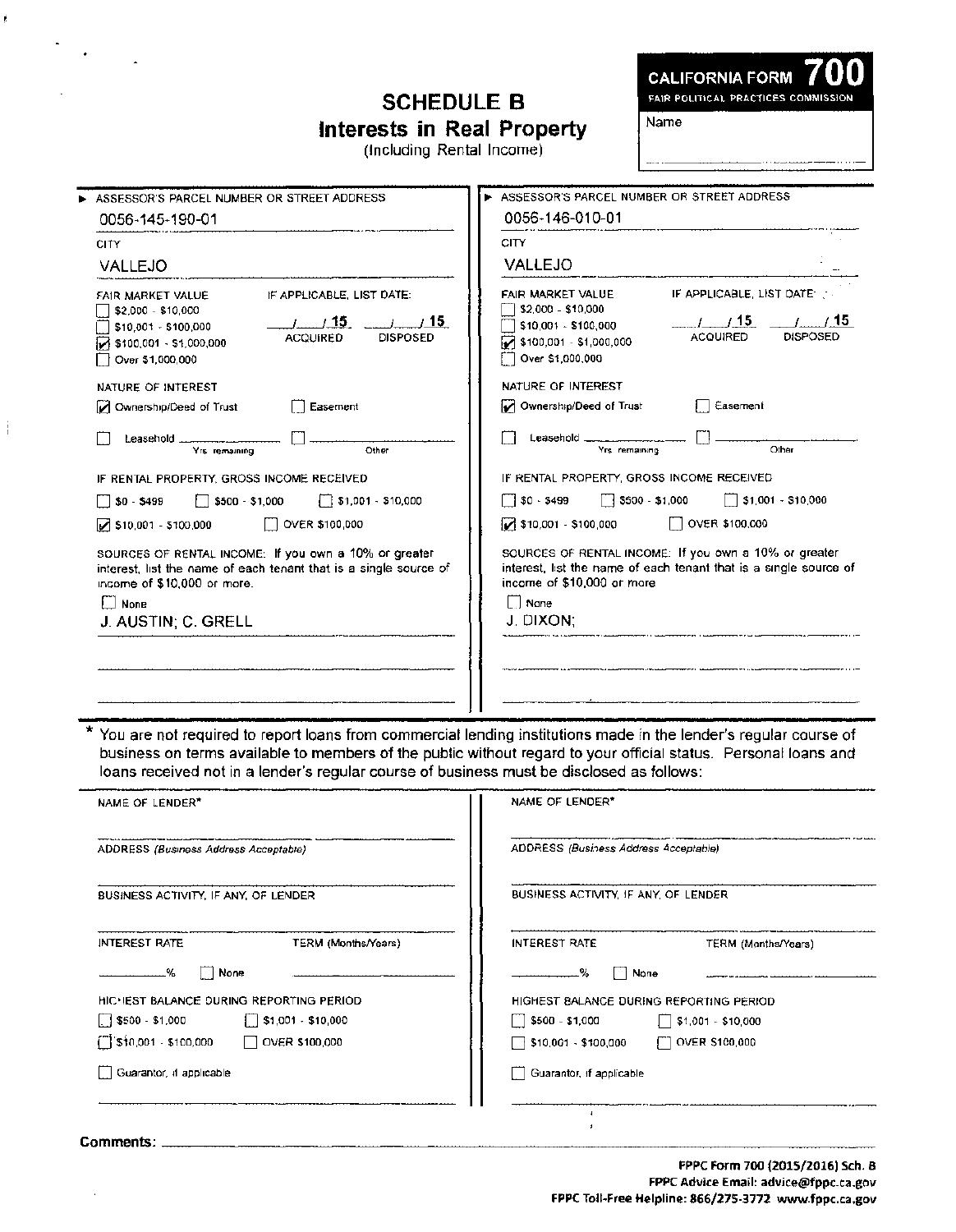## **SCHEDULE B Interests in Real Property**

(Including Rental Income)

r.

Name

| ASSESSOR'S PARCEL NUMBER OR STREET ADDRESS.                                                                                                                                                                                        | ASSESSOR'S PARCEL NUMBER OR STREET ADDRESS                                                                                                                                                                                                                                |
|------------------------------------------------------------------------------------------------------------------------------------------------------------------------------------------------------------------------------------|---------------------------------------------------------------------------------------------------------------------------------------------------------------------------------------------------------------------------------------------------------------------------|
| 0056-145-190-01                                                                                                                                                                                                                    | 0056-146-010-01                                                                                                                                                                                                                                                           |
| <b>CITY</b>                                                                                                                                                                                                                        | <b>CITY</b>                                                                                                                                                                                                                                                               |
| <b>VALLEJO</b>                                                                                                                                                                                                                     | <b>VALLEJO</b>                                                                                                                                                                                                                                                            |
| IF APPLICABLE. LIST DATE:<br>FAIR MARKET VALUE<br>\$2,000 - \$10,000<br>1/15<br>$\left 1\right $ / 15<br>\$10,001 - \$100,000<br><b>DISPOSED</b><br><b>ACQUIRED</b><br>$\triangledown$ \$100,001 - \$1,000,000<br>Over \$1,000,000 | FAIR MARKET VALUE<br>IF APPLICABLE, LIST DATE<br>\$2,000 - \$10,000<br>$\overline{\phantom{a}}$<br>1/15<br>$\frac{1}{1}$ $\frac{1}{15}$<br>\$10,001 - \$100,000<br><b>ACQUIRED</b><br><b>DISPOSED</b><br>$\triangledown$ \$100,001 - \$1,000,000<br>Over \$1,000,000<br>П |
| NATURE OF INTEREST                                                                                                                                                                                                                 | NATURE OF INTEREST                                                                                                                                                                                                                                                        |
| Ownership/Deed of Trust<br>Easement                                                                                                                                                                                                | Ownership/Deed of Trust<br>Easement                                                                                                                                                                                                                                       |
| Leasehold $\frac{1}{2}$<br>Yrs remaining<br>Other                                                                                                                                                                                  | Leasehold _________________<br>Yrs remaining<br>Other                                                                                                                                                                                                                     |
| IF RENTAL PROPERTY, GROSS INCOME RECEIVED.                                                                                                                                                                                         | IF RENTAL PROPERTY. GROSS INCOME RECEIVED                                                                                                                                                                                                                                 |
| $\sqrt{3}$ \$1,001 - \$10,000<br>$$0 - $499$<br>$\frac{1}{2}$ \ \$500 - \$1,000                                                                                                                                                    | 3500 - \$1,000<br>$\sqrt{51,001}$ - \$10,000<br>୮ISO 5499                                                                                                                                                                                                                 |
| OVER \$100,000<br>$\triangleright$ \$10,001 - \$100,000                                                                                                                                                                            | OVER \$100,000<br>$\sqrt{ }$ \$10,001 - \$100,000                                                                                                                                                                                                                         |
| SOURCES OF RENTAL INCOME: If you own a 10% or greater<br>interest, list the name of each tenant that is a single source of<br>income of \$10,000 or more.<br>I None<br>J. AUSTIN; C. GRELL                                         | SQURCES OF RENTAL INCOME: If you own a 10% or greater<br>interest, list the name of each tenant that is a single source of<br>income of \$10,000 or more<br>$\Box$ Nane<br>J. DIXON:                                                                                      |

You are not required to report loans from commercial lending institutions made in the lender's regular course of business on terms available to members of the public without regard to your official status. Personal loans and loans received not in a lender's regular course of business must be disclosed as follows:

| NAME OF LENDER*                                         | NAME OF LENDER*<br>ADDRESS (Business Address Acceptable) |  |  |  |
|---------------------------------------------------------|----------------------------------------------------------|--|--|--|
| ADDRESS (Business Address Acceptable)                   |                                                          |  |  |  |
| BUSINESS ACTIVITY. IF ANY, OF LENDER                    | BUSINESS ACTIVITY, IF ANY, OF LENDER                     |  |  |  |
| TERM (Months/Years)<br><b>INTEREST RATE</b>             | <b>INTEREST RATE</b><br>TERM (Months/Years)              |  |  |  |
| None<br>. %                                             | -%<br>None                                               |  |  |  |
| HICHEST BALANCE DURING REPORTING PERIOD.                | HIGHEST BALANCE DURING REPORTING PERIOD                  |  |  |  |
| $\Box$ \$500 - \$1,000<br>$\sqrt{51,001 \cdot $10,000}$ | \$500 - \$1,000<br>\$1,001 - \$10,000<br>$\blacksquare$  |  |  |  |
| [ sin,001 - \$100,000<br>OVER \$100,000                 | OVER \$100,000<br>\$10,001 - \$100,000<br>ТT<br>- 1      |  |  |  |
| Guarantor, if applicable                                | Guarantor, if applicable                                 |  |  |  |
|                                                         |                                                          |  |  |  |
| Comments: .                                             |                                                          |  |  |  |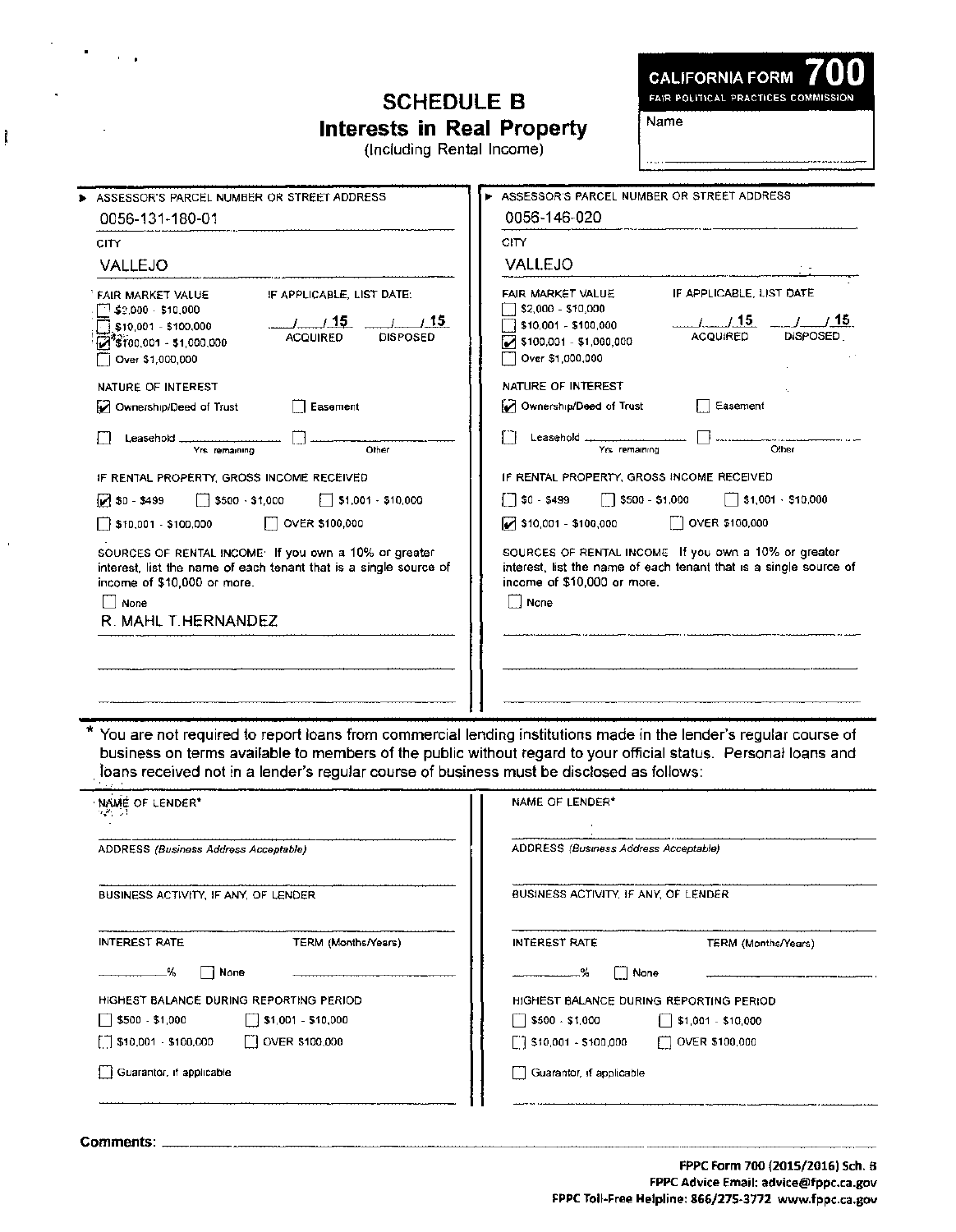# **SCHEDULE B Interests in Real Property**

(Including Rental Income)

Name

| ASSESSOR'S PARCEL NUMBER OR STREET ADDRESS                                                                                                                                                                                              | ASSESSOR'S PARCEL NUMBER OR STREET ADDRESS                                                                                                                                                                                                               |  |  |  |
|-----------------------------------------------------------------------------------------------------------------------------------------------------------------------------------------------------------------------------------------|----------------------------------------------------------------------------------------------------------------------------------------------------------------------------------------------------------------------------------------------------------|--|--|--|
| 0056-131-180-01                                                                                                                                                                                                                         | 0056-146-020                                                                                                                                                                                                                                             |  |  |  |
| <b>CITY</b>                                                                                                                                                                                                                             | <b>CITY</b>                                                                                                                                                                                                                                              |  |  |  |
| VALLEJO                                                                                                                                                                                                                                 | VALLEJO                                                                                                                                                                                                                                                  |  |  |  |
| IF APPLICABLE, LIST DATE:<br>FAIR MARKET VALUE<br>$\Box$ \$2,000 - \$10,000<br>1/15<br>$\frac{1}{1}$ $\frac{15}{15}$<br>\$10,001 - \$100,000<br><b>ACQUIRED</b><br><b>DISPOSED</b><br>$W^*$ \$100,001 - \$1,000,000<br>Over \$1,000,000 | FAIR MARKET VALUE<br>IF APPLICABLE, LIST DATE<br>\$2,000 - \$10,000<br>$\frac{1}{2}$ $\frac{15}{2}$ $\frac{1}{2}$ $\frac{15}{2}$<br>$\sqrt{510,001 - 5100,000}$<br><b>ACQUIRED</b><br><b>DISPOSED</b><br>$7$ \$100,001 - \$1,000,000<br>Over \$1,000,000 |  |  |  |
| NATURE OF INTEREST                                                                                                                                                                                                                      | NATURE OF INTEREST                                                                                                                                                                                                                                       |  |  |  |
| Ownership/Deed of Trust<br>Easement                                                                                                                                                                                                     | Ownership/Deed of Trust<br>Easement                                                                                                                                                                                                                      |  |  |  |
| Leasehold <u>________________</u> ____<br>Other<br>Yrs remaining                                                                                                                                                                        | ן ן<br>Other<br>Yrs remaining                                                                                                                                                                                                                            |  |  |  |
| IF RENTAL PROPERTY, GROSS INCOME RECEIVED                                                                                                                                                                                               | IF RENTAL PROPERTY, GROSS INCOME RECEIVED                                                                                                                                                                                                                |  |  |  |
| $\sqrt{3}$ \$0 - \$499<br>$\Box$ \$500 $\cdot$ \$1,000<br>$\Box$ \$1,001 - \$10,000                                                                                                                                                     | $\begin{array}{ c c c c c } \hline \text{ } & \text{ } 50 & -5499 \hline \end{array}$<br>$\Box$ \$500 - \$1,000<br>$\Box$ \$1,001 \ \$10,000                                                                                                             |  |  |  |
| OVER \$100,000<br>\$10,001 - \$100,000                                                                                                                                                                                                  | $\Box$ OVER \$100,000<br>$\triangledown$ \$10,001 - \$100,000                                                                                                                                                                                            |  |  |  |
| SOURCES OF RENTAL INCOME: If you own a 10% or greater<br>interest, list the name of each tenant that is a single source of<br>income of \$10,000 or more.<br>None<br>R. MAHL T.HERNANDEZ                                                | SOURCES OF RENTAL INCOME If you own a 10% or greater<br>interest, list the name of each tenant that is a single source of<br>income of \$10,000 or more.<br>None                                                                                         |  |  |  |
|                                                                                                                                                                                                                                         |                                                                                                                                                                                                                                                          |  |  |  |

business on terms available to members of the public without regard to your official status. Personal loans and loans received not in a lender's regular course of business must be disclosed as follows:

| NAME OF LENDER*<br>929 D.I                                                    | NAME OF LENDER*                               |  |  |  |
|-------------------------------------------------------------------------------|-----------------------------------------------|--|--|--|
| ADDRESS (Business Address Acceptable)                                         | ADDRESS (Business Address Acceptable)         |  |  |  |
| BUSINESS ACTIVITY, IF ANY, OF LENDER                                          | BUSINESS ACTIVITY, IF ANY, OF LENDER          |  |  |  |
| <b>INTEREST RATE</b><br>TERM (Months/Years)                                   | <b>INTEREST RATE</b><br>TERM (Months/Years)   |  |  |  |
| None<br>%                                                                     | None<br>$\Box$<br>-%                          |  |  |  |
| HIGHEST BALANCE DURING REPORTING PERIOD.                                      | HIGHEST BALANCE DURING REPORTING PERIOD       |  |  |  |
| $\begin{bmatrix} 0 & 0 & 0 \\ 0 & 0 & 0 \end{bmatrix}$ \$1,001 - \$10,000     | $5500 - $1,000$<br>$\sqrt{51,001}$ - \$10,000 |  |  |  |
| $\Box$ OVER \$100,000<br>$\begin{bmatrix} \end{bmatrix}$ \$10,001 - \$100,000 | 510,001 - \$100,000<br>OVER \$100,000         |  |  |  |
| Guarantor, if applicable                                                      | Guarantor, if applicable                      |  |  |  |
|                                                                               |                                               |  |  |  |

Commen~: \_\_\_\_\_\_\_\_\_\_\_\_\_\_\_\_\_\_\_\_\_\_\_\_\_\_\_\_\_\_\_\_\_\_\_\_\_\_\_\_\_\_\_\_\_\_\_\_\_\_\_\_\_\_\_\_\_\_\_\_\_ \_

 $\sigma_{\rm{max}}$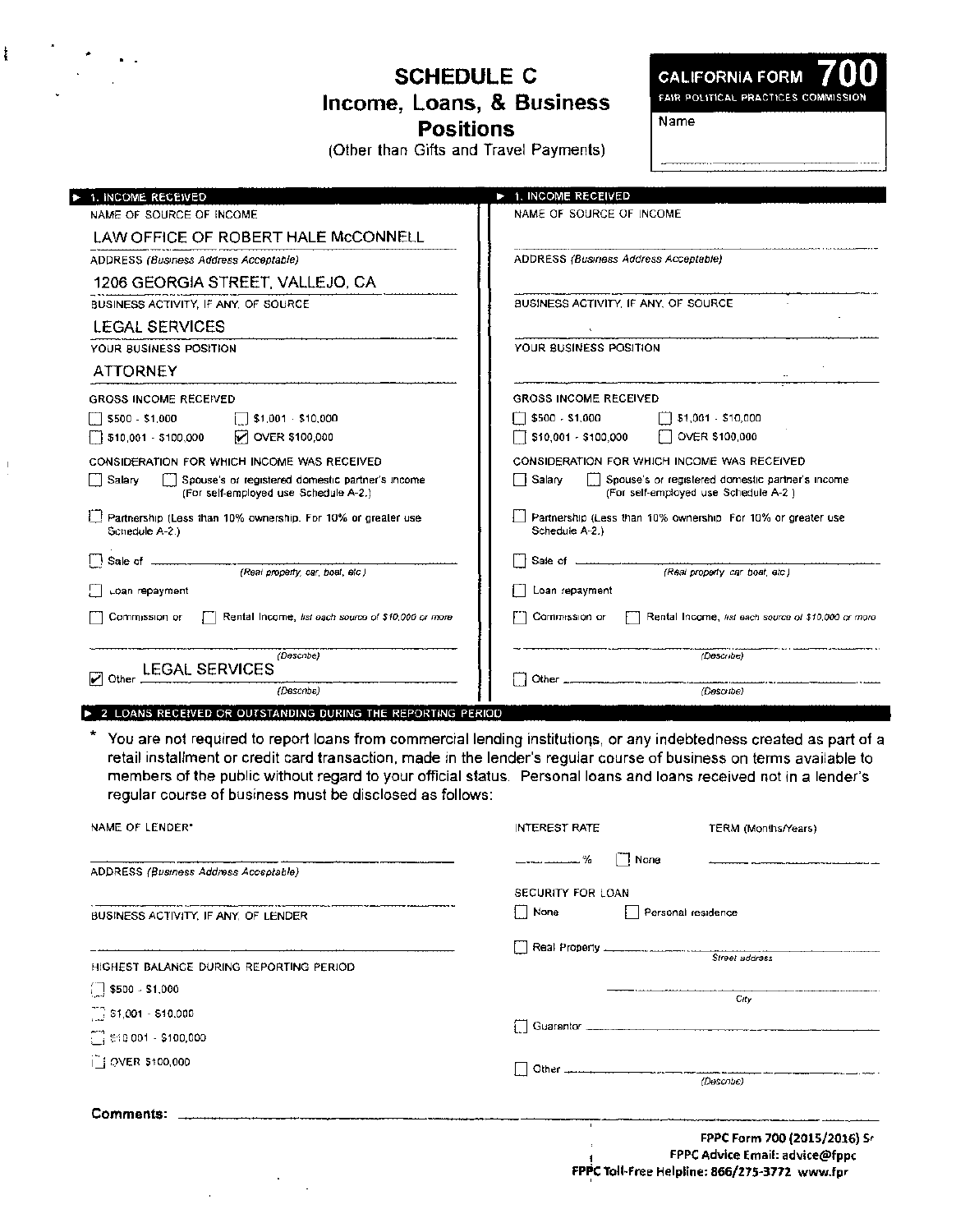**SCHEDULE C** Income, Loans, & Business **Positions** 

**CALIFORNIA FORM** FAIR POLITICAL PRACTICES COMMISSION Name

(Other than Gifts and Travel Payments)

| 1. INCOME RECEIVED                                                                                                | <b>1. INCOME RECEIVED</b>                                                                              |  |  |
|-------------------------------------------------------------------------------------------------------------------|--------------------------------------------------------------------------------------------------------|--|--|
| NAME OF SOURCE OF INCOME                                                                                          | NAME OF SOURCE OF INCOME                                                                               |  |  |
| LAW OFFICE OF ROBERT HALE McCONNELL                                                                               |                                                                                                        |  |  |
| ADDRESS (Business Address Acceptable)                                                                             | ADDRESS (Business Address Acceptable)                                                                  |  |  |
| 1206 GEORGIA STREET, VALLEJO, CA                                                                                  |                                                                                                        |  |  |
| BUSINESS ACTIVITY, IF ANY, OF SOURCE                                                                              | BUSINESS ACTIVITY. IF ANY, OF SOURCE.                                                                  |  |  |
| LEGAL SERVICES                                                                                                    |                                                                                                        |  |  |
| YOUR BUSINESS POSITION                                                                                            | YOUR BUSINESS POSITION.                                                                                |  |  |
| <b>ATTORNEY</b>                                                                                                   |                                                                                                        |  |  |
| <b>GROSS INCOME RECEIVED</b>                                                                                      | GROSS INCOME RECEIVED                                                                                  |  |  |
| \$500 - \$1,000<br>$\vert$ \$1,001 \$10,000                                                                       | \$500 - \$1,000<br>$\sqrt{51,001}$ - \$10,000                                                          |  |  |
|                                                                                                                   | OVER \$100,000<br>\$10,001 - \$100,000                                                                 |  |  |
| CONSIDERATION FOR WHICH INCOME WAS RECEIVED.                                                                      | CONSIDERATION FOR WHICH INCOME WAS RECEIVED                                                            |  |  |
| Salary<br>[1] Spouse's or registered domestic partner's income<br>$\sim$<br>(For self-employed use Schedule A-2.) | i Salarv<br>  Spouse's or registered domestic partner's income<br>(For self-employed use Schedule A-2) |  |  |
| Partnership (Less than 10% ownership. For 10% or greater use<br>Schedule A-2.)                                    | Partnership (Less than 10% ownership For 10% or greater use<br>Schedule A-2.)                          |  |  |
|                                                                                                                   | Sale of <u>examenation</u>                                                                             |  |  |
| (Real property, car, boat, etc.)                                                                                  | (Real property car boat, etc.)                                                                         |  |  |
| Loan repayment                                                                                                    | Loan repayment                                                                                         |  |  |
| Rental Income, hat each source of \$10,000 or more<br>Commission or                                               | Commission or<br>Rental Income, hat each source of \$10,000 or more                                    |  |  |
| (Describe)<br><b>LEGAL SERVICES</b>                                                                               | (Describe)                                                                                             |  |  |
| Other<br>(Describa)                                                                                               | Other $\_\_$<br><u> 1989 - Jan James James, maritant eta indone</u><br>(Describe)                      |  |  |
|                                                                                                                   |                                                                                                        |  |  |

> 2 LOANS RECEIVED OR OUTSTANDING DURING THE REPORTING PERIOD

You are not required to report loans from commercial lending institutions, or any indebtedness created as part of a ŧ retail installment or credit card transaction, made in the lender's regular course of business on terms available to members of the public without regard to your official status. Personal loans and loans received not in a lender's regular course of business must be disclosed as follows:

| NAME OF LENDER"                          | INTEREST RATE     |                    | TERM (Months/Years)                                                                                             |  |
|------------------------------------------|-------------------|--------------------|-----------------------------------------------------------------------------------------------------------------|--|
| ADDRESS (Business Address Acceptable)    | —————————— %      | ∏ None             |                                                                                                                 |  |
|                                          | SECURITY FOR LOAN |                    |                                                                                                                 |  |
| BUSINESS ACTIVITY, IF ANY, OF LENDER     | None              | Personal residence |                                                                                                                 |  |
|                                          |                   |                    |                                                                                                                 |  |
| HIGHEST BALANCE DURING REPORTING PERIOD. |                   |                    |                                                                                                                 |  |
| $\Box$ \$500 - \$1,000                   |                   |                    | City                                                                                                            |  |
| $\bigcup_{i=1}^{n-1} 51,001 - 510,000$   |                   |                    |                                                                                                                 |  |
| $\Box$ \$10,001 - \$100,000              |                   |                    |                                                                                                                 |  |
| OVER \$100,000                           |                   |                    |                                                                                                                 |  |
|                                          |                   |                    | (Descrite)                                                                                                      |  |
|                                          |                   |                    |                                                                                                                 |  |
|                                          | $\blacksquare$    |                    | FPPC Form 700 (2015/2016) Sr<br>FPPC Advice Email: advice@fppc<br>FPPC Toll-Free Helpline: 866/275-3772 www.for |  |